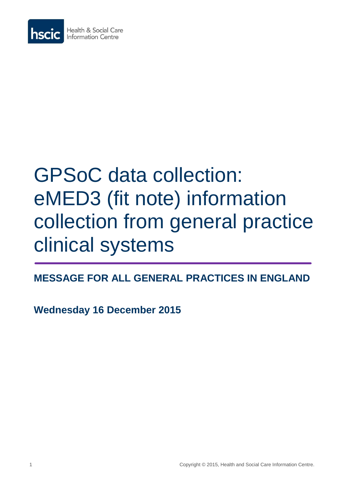

# GPSoC data collection: eMED3 (fit note) information collection from general practice clinical systems

## **MESSAGE FOR ALL GENERAL PRACTICES IN ENGLAND**

**Wednesday 16 December 2015**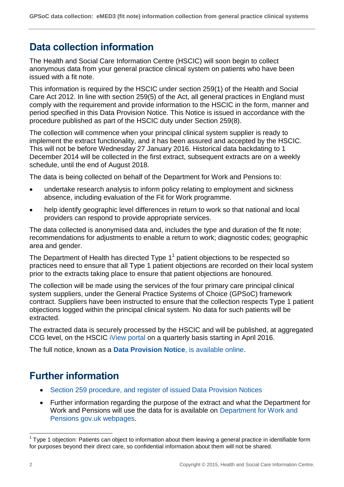## **Data collection information**

The Health and Social Care Information Centre (HSCIC) will soon begin to collect anonymous data from your general practice clinical system on patients who have been issued with a fit note.

This information is required by the HSCIC under section 259(1) of the Health and Social Care Act 2012. In line with section 259(5) of the Act, all general practices in England must comply with the requirement and provide information to the HSCIC in the form, manner and period specified in this Data Provision Notice. This Notice is issued in accordance with the procedure published as part of the HSCIC duty under Section 259(8).

The collection will commence when your principal clinical system supplier is ready to implement the extract functionality, and it has been assured and accepted by the HSCIC. This will not be before Wednesday 27 January 2016. Historical data backdating to 1 December 2014 will be collected in the first extract, subsequent extracts are on a weekly schedule, until the end of August 2018.

The data is being collected on behalf of the Department for Work and Pensions to:

- undertake research analysis to inform policy relating to employment and sickness absence, including evaluation of the Fit for Work programme.
- help identify geographic level differences in return to work so that national and local providers can respond to provide appropriate services.

The data collected is anonymised data and, includes the type and duration of the fit note; recommendations for adjustments to enable a return to work; diagnostic codes; geographic area and gender.

The Department of Health has directed Type  $1<sup>1</sup>$  patient objections to be respected so practices need to ensure that all Type 1 patient objections are recorded on their local system prior to the extracts taking place to ensure that patient objections are honoured.

The collection will be made using the services of the four primary care principal clinical system suppliers, under the General Practice Systems of Choice (GPSoC) framework contract. Suppliers have been instructed to ensure that the collection respects Type 1 patient objections logged within the principal clinical system. No data for such patients will be extracted.

The extracted data is securely processed by the HSCIC and will be published, at aggregated CCG level, on the HSCIC [iView portal](https://iview.hscic.gov.uk/Home/DataAreas) on a quarterly basis starting in April 2016.

The full notice, known as a **[Data Provision Notice](https://www.gov.uk/government/publications/data-provision-notices-section-259-health-social-care-act-2012)**, is available online.

## **Further information**

- [Section 259 procedure, and register of issued Data Provision Notices](https://www.gov.uk/government/publications/data-provision-notices-section-259-health-social-care-act-2012)
- Further information regarding the purpose of the extract and what the Department for Work and Pensions will use the data for is available on [Department for Work and](http://www.gov.uk/dwp/fit-note-data)  [Pensions gov.uk webpages.](http://www.gov.uk/dwp/fit-note-data)

1

 $1$  Type 1 objection: Patients can object to information about them leaving a general practice in identifiable form for purposes beyond their direct care, so confidential information about them will not be shared.